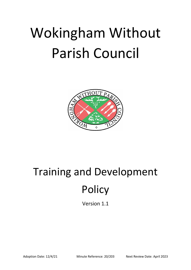## Wokingham Without Parish Council



## Training and Development **Policy**

Version 1.1